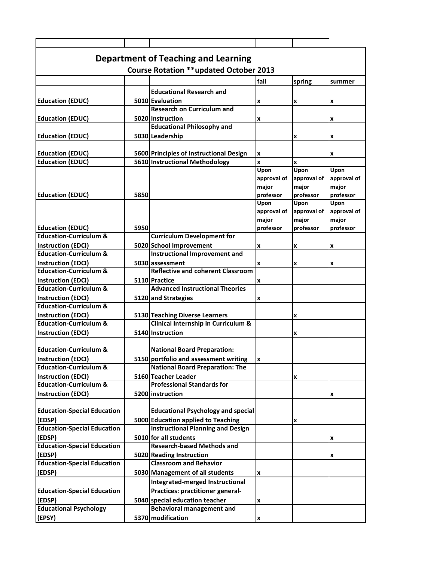| Department of Teaching and Learning           |      |                                                       |             |             |             |  |  |  |  |
|-----------------------------------------------|------|-------------------------------------------------------|-------------|-------------|-------------|--|--|--|--|
| <b>Course Rotation **updated October 2013</b> |      |                                                       |             |             |             |  |  |  |  |
|                                               |      |                                                       | fall        | spring      | summer      |  |  |  |  |
|                                               |      | <b>Educational Research and</b>                       |             |             |             |  |  |  |  |
|                                               |      |                                                       |             |             |             |  |  |  |  |
| <b>Education (EDUC)</b>                       |      | 5010 Evaluation<br><b>Research on Curriculum and</b>  | X           | x           | x           |  |  |  |  |
|                                               |      |                                                       |             |             |             |  |  |  |  |
| <b>Education (EDUC)</b>                       |      | 5020 Instruction<br><b>Educational Philosophy and</b> | X           |             | x           |  |  |  |  |
|                                               |      |                                                       |             |             |             |  |  |  |  |
| <b>Education (EDUC)</b>                       |      | 5030 Leadership                                       |             | X           | x           |  |  |  |  |
|                                               |      |                                                       |             |             |             |  |  |  |  |
| <b>Education (EDUC)</b>                       |      | 5600 Principles of Instructional Design               | x           |             | x           |  |  |  |  |
| <b>Education (EDUC)</b>                       |      | 5610 Instructional Methodology                        | X<br>Upon   | x<br>Upon   | Upon        |  |  |  |  |
|                                               |      |                                                       | approval of | approval of | approval of |  |  |  |  |
|                                               |      |                                                       | major       | major       | major       |  |  |  |  |
| <b>Education (EDUC)</b>                       | 5850 |                                                       | professor   | professor   | professor   |  |  |  |  |
|                                               |      |                                                       | Upon        | Upon        | Upon        |  |  |  |  |
|                                               |      |                                                       | approval of | approval of | approval of |  |  |  |  |
|                                               |      |                                                       | major       | major       | major       |  |  |  |  |
| <b>Education (EDUC)</b>                       | 5950 |                                                       | professor   | professor   | professor   |  |  |  |  |
| <b>Education-Curriculum &amp;</b>             |      | <b>Curriculum Development for</b>                     |             |             |             |  |  |  |  |
| <b>Instruction (EDCI)</b>                     |      | 5020 School Improvement                               | X           | X           | x           |  |  |  |  |
| <b>Education-Curriculum &amp;</b>             |      | Instructional Improvement and                         |             |             |             |  |  |  |  |
| <b>Instruction (EDCI)</b>                     |      | 5030 assessment                                       | x           | x           | x           |  |  |  |  |
| <b>Education-Curriculum &amp;</b>             |      | <b>Reflective and coherent Classroom</b>              |             |             |             |  |  |  |  |
| <b>Instruction (EDCI)</b>                     |      | 5110 Practice                                         | X           |             |             |  |  |  |  |
| <b>Education-Curriculum &amp;</b>             |      | <b>Advanced Instructional Theories</b>                |             |             |             |  |  |  |  |
| <b>Instruction (EDCI)</b>                     |      | 5120 and Strategies                                   | x           |             |             |  |  |  |  |
| <b>Education-Curriculum &amp;</b>             |      |                                                       |             |             |             |  |  |  |  |
| <b>Instruction (EDCI)</b>                     |      | 5130 Teaching Diverse Learners                        |             | X           |             |  |  |  |  |
| <b>Education-Curriculum &amp;</b>             |      | Clinical Internship in Curriculum &                   |             |             |             |  |  |  |  |
| <b>Instruction (EDCI)</b>                     |      | 5140 Instruction                                      |             | x           |             |  |  |  |  |
|                                               |      |                                                       |             |             |             |  |  |  |  |
| <b>Education-Curriculum &amp;</b>             |      | <b>National Board Preparation:</b>                    |             |             |             |  |  |  |  |
| <b>Instruction (EDCI)</b>                     |      | 5150 portfolio and assessment writing                 | Iх          |             |             |  |  |  |  |
| <b>Education-Curriculum &amp;</b>             |      | <b>National Board Preparation: The</b>                |             |             |             |  |  |  |  |
| <b>Instruction (EDCI)</b>                     |      | 5160 Teacher Leader                                   |             | X           |             |  |  |  |  |
| <b>Education-Curriculum &amp;</b>             |      | <b>Professional Standards for</b>                     |             |             |             |  |  |  |  |
| <b>Instruction (EDCI)</b>                     |      | 5200 instruction                                      |             |             | x           |  |  |  |  |
|                                               |      |                                                       |             |             |             |  |  |  |  |
| <b>Education-Special Education</b>            |      | <b>Educational Psychology and special</b>             |             |             |             |  |  |  |  |
| (EDSP)                                        |      | 5000 Education applied to Teaching                    |             | x           |             |  |  |  |  |
| <b>Education-Special Education</b>            |      | <b>Instructional Planning and Design</b>              |             |             |             |  |  |  |  |
| (EDSP)                                        |      | 5010 for all students                                 |             |             | x           |  |  |  |  |
| <b>Education-Special Education</b>            |      | <b>Research-based Methods and</b>                     |             |             |             |  |  |  |  |
| (EDSP)                                        |      | 5020 Reading Instruction                              |             |             | x           |  |  |  |  |
| <b>Education-Special Education</b>            |      | <b>Classroom and Behavior</b>                         |             |             |             |  |  |  |  |
| (EDSP)                                        |      | 5030 Management of all students                       | x           |             |             |  |  |  |  |
|                                               |      | Integrated-merged Instructional                       |             |             |             |  |  |  |  |
| <b>Education-Special Education</b>            |      | Practices: practitioner general-                      |             |             |             |  |  |  |  |
| (EDSP)                                        |      | 5040 special education teacher                        | X           |             |             |  |  |  |  |
| <b>Educational Psychology</b>                 |      | <b>Behavioral management and</b>                      |             |             |             |  |  |  |  |
| (EPSY)                                        |      | 5370 modification                                     | X           |             |             |  |  |  |  |
|                                               |      |                                                       |             |             |             |  |  |  |  |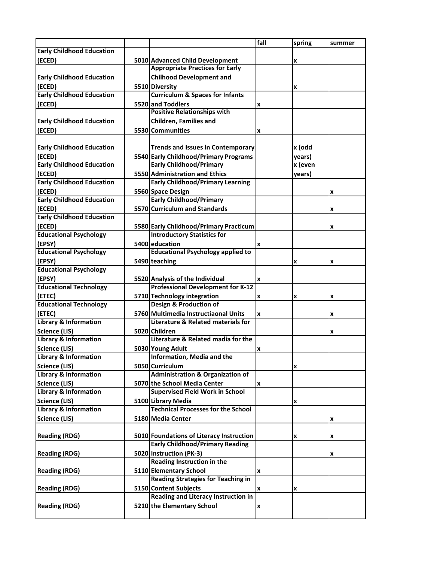|                                  |                                             | fall | spring  | summer |
|----------------------------------|---------------------------------------------|------|---------|--------|
| <b>Early Childhood Education</b> |                                             |      |         |        |
| (ECED)                           | 5010 Advanced Child Development             |      | x       |        |
|                                  | <b>Appropriate Practices for Early</b>      |      |         |        |
| <b>Early Childhood Education</b> | <b>Chilhood Development and</b>             |      |         |        |
| (ECED)                           | 5510 Diversity                              |      | x       |        |
| <b>Early Childhood Education</b> | <b>Curriculum &amp; Spaces for Infants</b>  |      |         |        |
| (ECED)                           | 5520 and Toddlers                           | x    |         |        |
|                                  | <b>Positive Relationships with</b>          |      |         |        |
| <b>Early Childhood Education</b> | <b>Children, Families and</b>               |      |         |        |
| (ECED)                           | 5530 Communities                            | x    |         |        |
|                                  |                                             |      |         |        |
| <b>Early Childhood Education</b> | <b>Trends and Issues in Contemporary</b>    |      | x (odd  |        |
| (ECED)                           | 5540 Early Childhood/Primary Programs       |      | years)  |        |
| <b>Early Childhood Education</b> | <b>Early Childhood/Primary</b>              |      | x (even |        |
| (ECED)                           | 5550 Administration and Ethics              |      | years)  |        |
| <b>Early Childhood Education</b> | <b>Early Childhood/Primary Learning</b>     |      |         |        |
| (ECED)                           | 5560 Space Design                           |      |         | x      |
| <b>Early Childhood Education</b> | <b>Early Childhood/Primary</b>              |      |         |        |
| (ECED)                           | 5570 Curriculum and Standards               |      |         | x      |
| <b>Early Childhood Education</b> |                                             |      |         |        |
| (ECED)                           | 5580 Early Childhood/Primary Practicum      |      |         | x      |
| <b>Educational Psychology</b>    | <b>Introductory Statistics for</b>          |      |         |        |
| (EPSY)                           | 5400 education                              | X    |         |        |
| <b>Educational Psychology</b>    | <b>Educational Psychology applied to</b>    |      |         |        |
| (EPSY)                           | 5490 teaching                               |      | x       | x      |
| <b>Educational Psychology</b>    |                                             |      |         |        |
| (EPSY)                           | 5520 Analysis of the Individual             | x    |         |        |
| <b>Educational Technology</b>    | <b>Professional Development for K-12</b>    |      |         |        |
| (ETEC)                           | 5710 Technology integration                 | x    | x       | x      |
| <b>Educational Technology</b>    | <b>Design &amp; Production of</b>           |      |         |        |
| (ETEC)                           | 5760 Multimedia Instructiaonal Units        | x    |         | x      |
| <b>Library &amp; Information</b> | Literature & Related materials for          |      |         |        |
| Science (LIS)                    | 5020 Children                               |      |         | x      |
| <b>Library &amp; Information</b> | Literature & Related madia for the          |      |         |        |
| Science (LIS)                    | 5030 Young Adult                            | x    |         |        |
| Library & Information            | Information, Media and the                  |      |         |        |
| Science (LIS)                    | 5050 Curriculum                             |      | x       |        |
| <b>Library &amp; Information</b> | <b>Administration &amp; Organization of</b> |      |         |        |
| Science (LIS)                    | 5070 the School Media Center                | x    |         |        |
| Library & Information            | <b>Supervised Field Work in School</b>      |      |         |        |
| Science (LIS)                    | 5100 Library Media                          |      | x       |        |
| <b>Library &amp; Information</b> | <b>Technical Processes for the School</b>   |      |         |        |
| Science (LIS)                    | 5180 Media Center                           |      |         | x      |
|                                  |                                             |      |         |        |
| <b>Reading (RDG)</b>             | 5010 Foundations of Literacy Instruction    |      | x       | x      |
|                                  | <b>Early Childhood/Primary Reading</b>      |      |         |        |
| <b>Reading (RDG)</b>             | 5020 Instruction (PK-3)                     |      |         | x      |
|                                  | Reading Instruction in the                  |      |         |        |
| <b>Reading (RDG)</b>             | 5110 Elementary School                      | X    |         |        |
|                                  | <b>Reading Strategies for Teaching in</b>   |      |         |        |
| <b>Reading (RDG)</b>             | 5150 Content Subjects                       | x    | x       |        |
|                                  | Reading and Literacy Instruction in         |      |         |        |
| <b>Reading (RDG)</b>             | 5210 the Elementary School                  | x    |         |        |
|                                  |                                             |      |         |        |
|                                  |                                             |      |         |        |